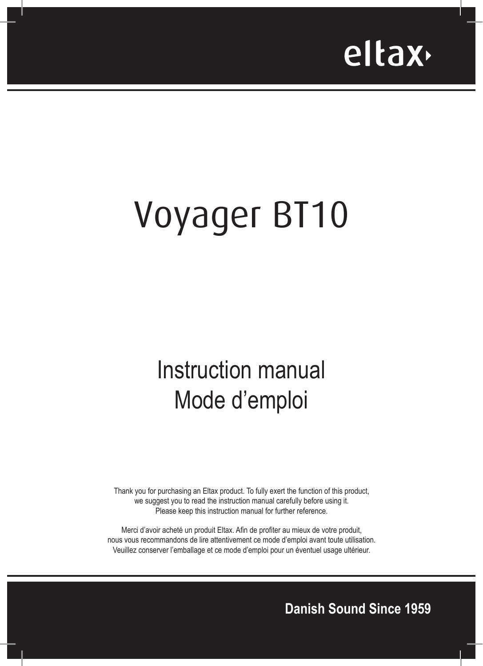

# Voyager BT10

## Instruction manual Mode d'emploi

Thank you for purchasing an Eltax product. To fully exert the function of this product, we suggest you to read the instruction manual carefully before using it. Please keep this instruction manual for further reference.

Merci d'avoir acheté un produit Eltax. Afin de profiter au mieux de votre produit, nous vous recommandons de lire attentivement ce mode d'emploi avant toute utilisation. Veuillez conserver l'emballage et ce mode d'emploi pour un éventuel usage ultérieur.

**Danish Sound Since 1959**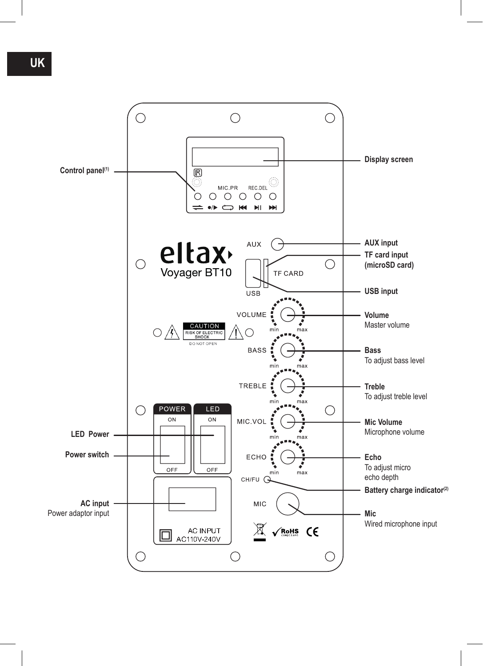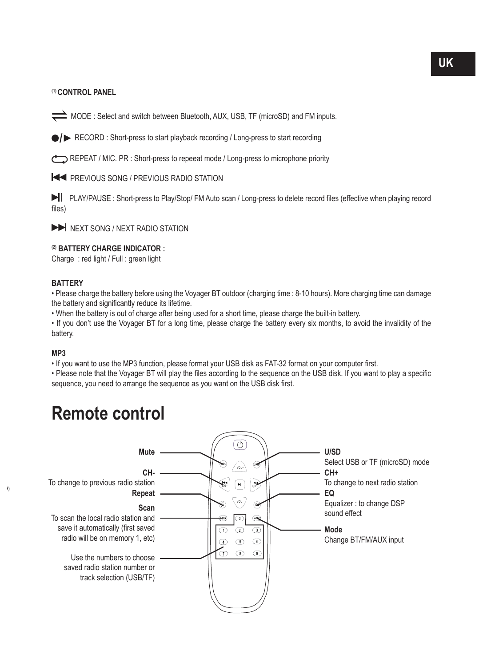**(1) CONTROL PANEL**

MODE : Select and switch between Bluetooth, AUX, USB, TF (microSD) and FM inputs.

**/** RECORD : Short-press to start playback recording / Long-press to start recording

REPEAT / MIC. PR : Short-press to repeeat mode / Long-press to microphone priority

**ESTIMATE PREVIOUS SONG / PREVIOUS RADIO STATION** 

 PLAY/PAUSE : Short-press to Play/Stop/ FM Auto scan / Long-press to delete record files (effective when playing record files)

 $\blacktriangleright$  NEXT SONG / NEXT RADIO STATION

#### **(2) BATTERY CHARGE INDICATOR :**

Charge : red light / Full : green light

#### **BATTERY**

• Please charge the battery before using the Voyager BT outdoor (charging time : 8-10 hours). More charging time can damage the battery and significantly reduce its lifetime.

• When the battery is out of charge after being used for a short time, please charge the built-in battery.

• If you don't use the Voyager BT for a long time, please charge the battery every six months, to avoid the invalidity of the battery.

#### **MP3**

**Battery charge indicator(2)**

• If you want to use the MP3 function, please format your USB disk as FAT-32 format on your computer first.

• Please note that the Voyager BT will play the files according to the sequence on the USB disk. If you want to play a specific sequence, you need to arrange the sequence as you want on the USB disk first.

### **Remote control**

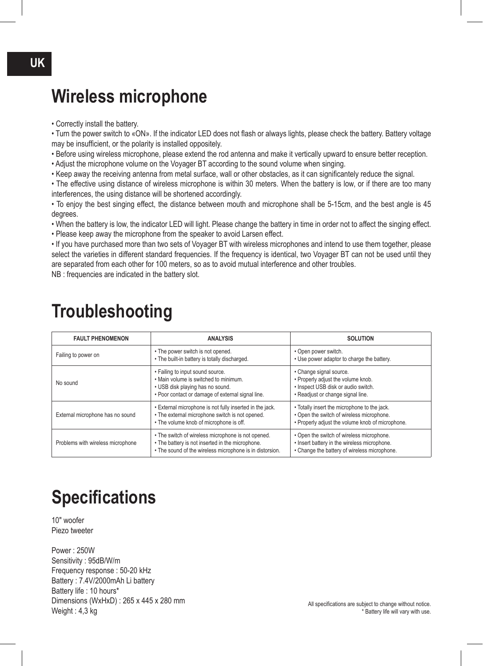### **Wireless microphone**

• Correctly install the battery.

• Turn the power switch to «ON». If the indicator LED does not flash or always lights, please check the battery. Battery voltage may be insufficient, or the polarity is installed oppositely.

• Before using wireless microphone, please extend the rod antenna and make it vertically upward to ensure better reception.

- Adjust the microphone volume on the Voyager BT according to the sound volume when singing.
- Keep away the receiving antenna from metal surface, wall or other obstacles, as it can significantely reduce the signal.

• The effective using distance of wireless microphone is within 30 meters. When the battery is low, or if there are too many interferences, the using distance will be shortened accordingly.

• To enjoy the best singing effect, the distance between mouth and microphone shall be 5-15cm, and the best angle is 45 degrees.

• When the battery is low, the indicator LED will light. Please change the battery in time in order not to affect the singing effect.

• Please keep away the microphone from the speaker to avoid Larsen effect.

• If you have purchased more than two sets of Voyager BT with wireless microphones and intend to use them together, please select the varieties in different standard frequencies. If the frequency is identical, two Voyager BT can not be used until they are separated from each other for 100 meters, so as to avoid mutual interference and other troubles.

NB : frequencies are indicated in the battery slot.

| <b>FAULT PHENOMENON</b>           | <b>ANALYSIS</b>                                                                                                                                                    | <b>SOLUTION</b>                                                                                                                               |
|-----------------------------------|--------------------------------------------------------------------------------------------------------------------------------------------------------------------|-----------------------------------------------------------------------------------------------------------------------------------------------|
| Failing to power on               | • The power switch is not opened.<br>. The built-in battery is totally discharged.                                                                                 | • Open power switch.<br>• Use power adaptor to charge the battery.                                                                            |
| No sound                          | • Failing to input sound source.<br>. Main volume is switched to minimum.<br>• USB disk playing has no sound.<br>. Poor contact or damage of external signal line. | • Change signal source.<br>• Properly adjust the volume knob.<br>· Inspect USB disk or audio switch.<br>• Readjust or change signal line.     |
| External microphone has no sound  | . External microphone is not fully inserted in the jack.<br>• The external microphone switch is not opened.<br>• The volume knob of microphone is off.             | • Totally insert the microphone to the jack.<br>• Open the switch of wireless microphone.<br>• Properly adjust the volume knob of microphone. |
| Problems with wireless microphone | • The switch of wireless microphone is not opened.<br>• The battery is not inserted in the microphone.<br>• The sound of the wireless microphone is in distorsion. | • Open the switch of wireless microphone.<br>• Insert battery in the wireless microphone.<br>• Change the battery of wireless microphone.     |

### **Troubleshooting**

### **Specifications**

10" woofer Piezo tweeter

Power : 250W Sensitivity : 95dB/W/m Frequency response : 50-20 kHz Battery : 7.4V/2000mAh Li battery Battery life : 10 hours\* Dimensions (WxHxD) : 265 x 445 x 280 mm Weight : 4,3 kg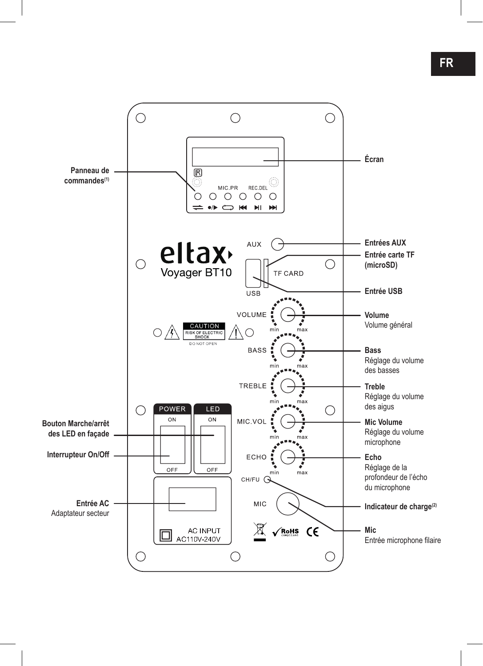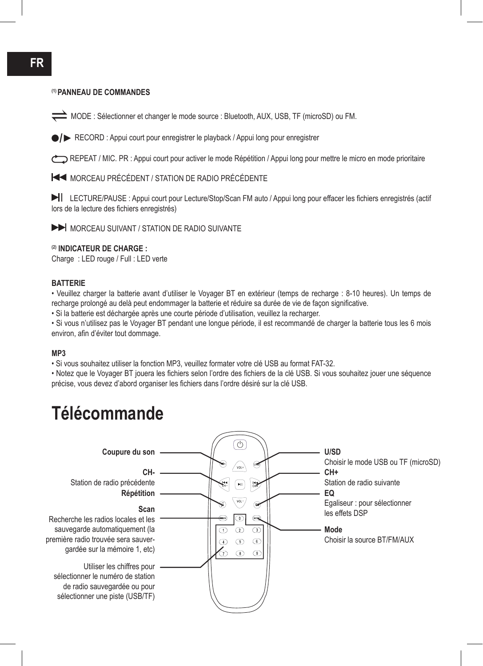#### **(1) PANNEAU DE COMMANDES**

MODE : Sélectionner et changer le mode source : Bluetooth, AUX, USB, TF (microSD) ou FM.

**/** RECORD : Appui court pour enregistrer le playback / Appui long pour enregistrer

REPEAT / MIC. PR : Appui court pour activer le mode Répétition / Appui long pour mettre le micro en mode prioritaire

MORCEAU PRÉCÉDENT / STATION DE RADIO PRÉCÉDENTE

 LECTURE/PAUSE : Appui court pour Lecture/Stop/Scan FM auto / Appui long pour effacer les fichiers enregistrés (actif lors de la lecture des fichiers enregistrés)

MORCEAU SUIVANT / STATION DE RADIO SUIVANTE

#### **(2) INDICATEUR DE CHARGE :**

Charge : LED rouge / Full : LED verte

#### **BATTERIE**

• Veuillez charger la batterie avant d'utiliser le Voyager BT en extérieur (temps de recharge : 8-10 heures). Un temps de recharge prolongé au delà peut endommager la batterie et réduire sa durée de vie de façon significative.

• Si la batterie est déchargée après une courte période d'utilisation, veuillez la recharger.

• Si vous n'utilisez pas le Voyager BT pendant une longue période, il est recommandé de charger la batterie tous les 6 mois environ, afin d'éviter tout dommage.

#### **MP3**

• Si vous souhaitez utiliser la fonction MP3, veuillez formater votre clé USB au format FAT-32.

• Notez que le Voyager BT jouera les fichiers selon l'ordre des fichiers de la clé USB. Si vous souhaitez jouer une séquence précise, vous devez d'abord organiser les fichiers dans l'ordre désiré sur la clé USB.

### **Télécommande**

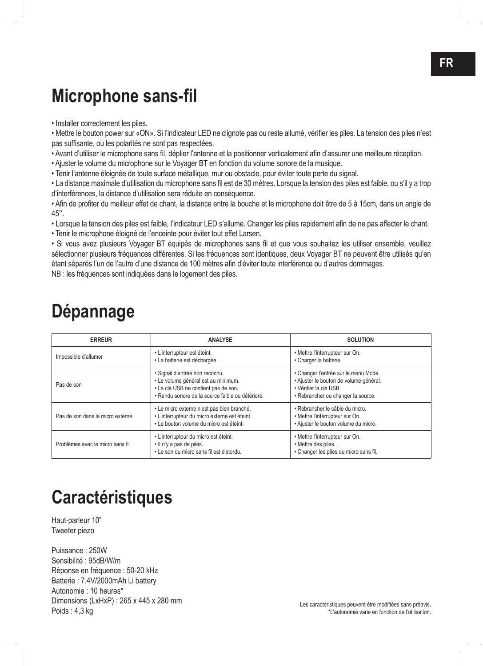### **Microphone sans-fil**

• Installer correctement les piles.

• Mettre le bouton power sur «ON». Si l'indicateur LED ne clignote pas ou reste allumé, vérifier les piles. La tension des piles n'est pas suffisante, ou les polarités ne sont pas respectées.

• Avant d'utiliser le microphone sans fil, déplier l'antenne et la positionner verticalement afin d'assurer une meilleure réception.

• Ajuster le volume du microphone sur le Voyager BT en fonction du volume sonore de la musique.

• Tenir l'antenne éloignée de toute surface métallique, mur ou obstacle, pour éviter toute perte du signal.

• La distance maximale d'utilisation du microphone sans fil est de 30 mètres. Lorsque la tension des piles est faible, ou s'il y a trop d'interférences, la distance d'utilisation sera réduite en conséquence.

• Afin de profiter du meilleur effet de chant, la distance entre la bouche et le microphone doit être de 5 à 15cm, dans un angle de 45°.

• Lorsque la tension des piles est faible, l'indicateur LED s'allume. Changer les piles rapidement afin de ne pas affecter le chant.

• Tenir le microphone éloigné de l'enceinte pour éviter tout effet Larsen.

• Si vous avez plusieurs Voyager BT équipés de microphones sans fil et que vous souhaitez les utiliser ensemble, veuillez sélectionner plusieurs fréquences différentes. Si les fréquences sont identiques, deux Voyager BT ne peuvent être utilisés qu'en étant séparés l'un de l'autre d'une distance de 100 mètres afin d'éviter toute interférence ou d'autres dommages. NB : les fréquences sont indiquées dans le logement des piles.

### **Dépannage**

| <b>ERREUR</b>                    | <b>ANALYSE</b>                                                                                                                                                    | <b>SOLUTION</b>                                                                                                                                |
|----------------------------------|-------------------------------------------------------------------------------------------------------------------------------------------------------------------|------------------------------------------------------------------------------------------------------------------------------------------------|
| Impossible d'allumer             | • L'interrupteur est éteint.<br>· La batterie est déchargée.                                                                                                      | • Mettre l'interrupteur sur On.<br>· Charger la batterie.                                                                                      |
| Pas de son                       | · Signal d'entrée non reconnu.<br>· Le volume général est au minimum.<br>• La clé USB ne contient pas de son.<br>· Rendu sonore de la source faible ou détérioré. | • Changer l'entrée sur le menu Mode.<br>· Ajuster le bouton de volume général.<br>· Vérifier la clé USB.<br>· Rebrancher ou changer la source. |
| Pas de son dans le micro externe | · Le micro externe n'est pas bien branché.<br>· L'interrupteur du micro externe est éteint.<br>. Le bouton volume du micro est éteint.                            | · Rebrancher le câble du micro.<br>• Mettre l'interrupteur sur On.<br>· Ajuster le bouton volume du micro.                                     |
| Problèmes avec le micro sans fil | · L'interrupteur du micro est éteint.<br>. Il n'y a pas de piles.<br>• Le son du micro sans fil est distordu.                                                     | • Mettre l'interrupteur sur On.<br>• Mettre des piles.<br>· Changer les piles du micro sans fil.                                               |

### **Caractéristiques**

Haut-parleur 10" Tweeter piezo

Puissance : 250W Sensibilité : 95dB/W/m Réponse en fréquence : 50-20 kHz Batterie : 7.4V/2000mAh Li battery Autonomie : 10 heures\* Dimensions (LxHxP) : 265 x 445 x 280 mm